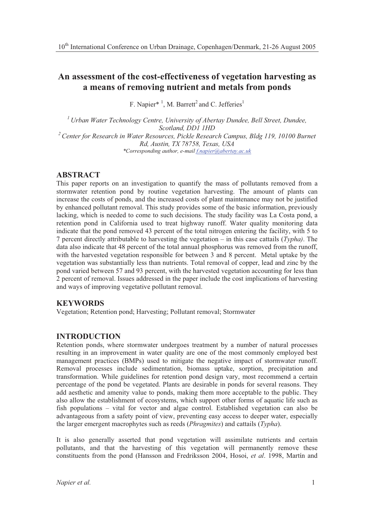# **An assessment of the cost-effectiveness of vegetation harvesting as a means of removing nutrient and metals from ponds**

F. Napier\*<sup>1</sup>, M. Barrett<sup>2</sup> and C. Jefferies<sup>1</sup>

*<sup>1</sup> Urban Water Technology Centre, University of Abertay Dundee, Bell Street, Dundee, Scotland, DD1 1HD <sup>2</sup> Center for Research in Water Resources, Pickle Research Campus, Bldg 119, 10100 Burnet Rd, Austin, TX 78758, Texas, USA \*Corresponding author, e-mail f.napier@abertay.ac.uk*

# **ABSTRACT**

This paper reports on an investigation to quantify the mass of pollutants removed from a stormwater retention pond by routine vegetation harvesting. The amount of plants can increase the costs of ponds, and the increased costs of plant maintenance may not be justified by enhanced pollutant removal. This study provides some of the basic information, previously lacking, which is needed to come to such decisions. The study facility was La Costa pond, a retention pond in California used to treat highway runoff. Water quality monitoring data indicate that the pond removed 43 percent of the total nitrogen entering the facility, with 5 to 7 percent directly attributable to harvesting the vegetation – in this case cattails (*Typha)*. The data also indicate that 48 percent of the total annual phosphorus was removed from the runoff, with the harvested vegetation responsible for between 3 and 8 percent. Metal uptake by the vegetation was substantially less than nutrients. Total removal of copper, lead and zinc by the pond varied between 57 and 93 percent, with the harvested vegetation accounting for less than 2 percent of removal. Issues addressed in the paper include the cost implications of harvesting and ways of improving vegetative pollutant removal.

### **KEYWORDS**

Vegetation; Retention pond; Harvesting; Pollutant removal; Stormwater

# **INTRODUCTION**

Retention ponds, where stormwater undergoes treatment by a number of natural processes resulting in an improvement in water quality are one of the most commonly employed best management practices (BMPs) used to mitigate the negative impact of stormwater runoff. Removal processes include sedimentation, biomass uptake, sorption, precipitation and transformation. While guidelines for retention pond design vary, most recommend a certain percentage of the pond be vegetated. Plants are desirable in ponds for several reasons. They add aesthetic and amenity value to ponds, making them more acceptable to the public. They also allow the establishment of ecosystems, which support other forms of aquatic life such as fish populations – vital for vector and algae control. Established vegetation can also be advantageous from a safety point of view, preventing easy access to deeper water, especially the larger emergent macrophytes such as reeds (*Phragmites*) and cattails (*Typha*).

It is also generally asserted that pond vegetation will assimilate nutrients and certain pollutants, and that the harvesting of this vegetation will permanently remove these constituents from the pond (Hansson and Fredriksson 2004, Hosoi, *et al.* 1998, Martín and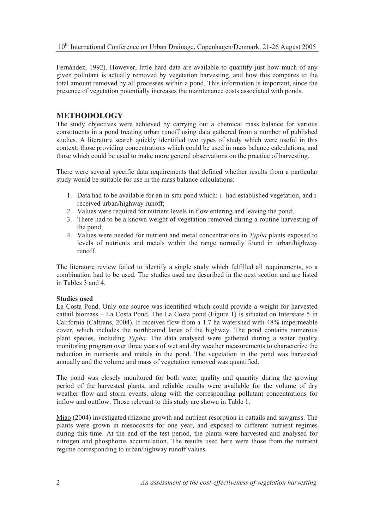Fernández, 1992). However, little hard data are available to quantify just how much of any given pollutant is actually removed by vegetation harvesting, and how this compares to the total amount removed by all processes within a pond. This information is important, since the presence of vegetation potentially increases the maintenance costs associated with ponds.

# **METHODOLOGY**

The study objectives were achieved by carrying out a chemical mass balance for various constituents in a pond treating urban runoff using data gathered from a number of published studies. A literature search quickly identified two types of study which were useful in this context: those providing concentrations which could be used in mass balance calculations, and those which could be used to make more general observations on the practice of harvesting.

There were several specific data requirements that defined whether results from a particular study would be suitable for use in the mass balance calculations:

- 1. Data had to be available for an in-situ pond which: 1. had established vegetation, and 2. received urban/highway runoff;
- 2. Values were required for nutrient levels in flow entering and leaving the pond;
- 3. There had to be a known weight of vegetation removed during a routine harvesting of the pond;
- 4. Values were needed for nutrient and metal concentrations in *Typha* plants exposed to levels of nutrients and metals within the range normally found in urban/highway runoff.

The literature review failed to identify a single study which fulfilled all requirements, so a combination had to be used. The studies used are described in the next section and are listed in Tables 3 and 4.

# **Studies used**

La Costa Pond. Only one source was identified which could provide a weight for harvested cattail biomass – La Costa Pond. The La Costa pond (Figure 1) is situated on Interstate 5 in California (Caltrans, 2004). It receives flow from a 1.7 ha watershed with 48% impermeable cover, which includes the northbound lanes of the highway. The pond contains numerous plant species, including *Typha*. The data analysed were gathered during a water quality monitoring program over three years of wet and dry weather measurements to characterize the reduction in nutrients and metals in the pond. The vegetation in the pond was harvested annually and the volume and mass of vegetation removed was quantified.

The pond was closely monitored for both water quality and quantity during the growing period of the harvested plants, and reliable results were available for the volume of dry weather flow and storm events, along with the corresponding pollutant concentrations for inflow and outflow. Those relevant to this study are shown in Table 1.

Miao (2004) investigated rhizome growth and nutrient resorption in cattails and sawgrass. The plants were grown in mesocosms for one year, and exposed to different nutrient regimes during this time. At the end of the test period, the plants were harvested and analysed for nitrogen and phosphorus accumulation. The results used here were those from the nutrient regime corresponding to urban/highway runoff values.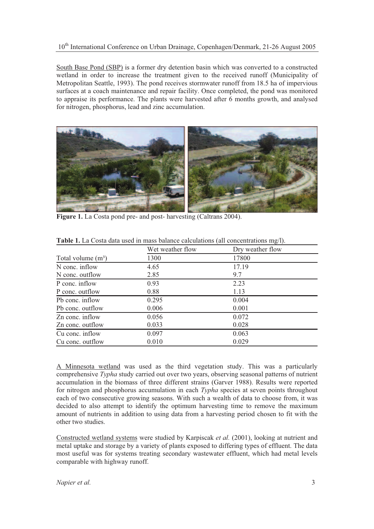### 10<sup>th</sup> International Conference on Urban Drainage, Copenhagen/Denmark, 21-26 August 2005

South Base Pond (SBP) is a former dry detention basin which was converted to a constructed wetland in order to increase the treatment given to the received runoff (Municipality of Metropolitan Seattle, 1993). The pond receives stormwater runoff from 18.5 ha of impervious surfaces at a coach maintenance and repair facility. Once completed, the pond was monitored to appraise its performance. The plants were harvested after 6 months growth, and analysed for nitrogen, phosphorus, lead and zinc accumulation.



**Figure 1.** La Costa pond pre- and post- harvesting (Caltrans 2004).

|                      | Wet weather flow | Dry weather flow |  |
|----------------------|------------------|------------------|--|
| Total volume $(m^3)$ | 1300             | 17800            |  |
| N conc. inflow       | 4.65             | 17.19            |  |
| N conc. outflow      | 2.85             | 9.7              |  |
| P conc. inflow       | 0.93             | 2.23             |  |
| P conc. outflow      | 0.88             | 1.13             |  |
| Ph conc. inflow      | 0.295            | 0.004            |  |
| Pb conc. outflow     | 0.006            | 0.001            |  |
| Zn conc. inflow      | 0.056            | 0.072            |  |
| Zn conc. outflow     | 0.033            | 0.028            |  |
| Cu conc. inflow      | 0.097            | 0.063            |  |
| Cu conc. outflow     | 0.010            | 0.029            |  |

**Table 1.** La Costa data used in mass balance calculations (all concentrations mg/l).

A Minnesota wetland was used as the third vegetation study. This was a particularly comprehensive *Typha* study carried out over two years, observing seasonal patterns of nutrient accumulation in the biomass of three different strains (Garver 1988). Results were reported for nitrogen and phosphorus accumulation in each *Typha* species at seven points throughout each of two consecutive growing seasons. With such a wealth of data to choose from, it was decided to also attempt to identify the optimum harvesting time to remove the maximum amount of nutrients in addition to using data from a harvesting period chosen to fit with the other two studies.

Constructed wetland systems were studied by Karpiscak *et al.* (2001), looking at nutrient and metal uptake and storage by a variety of plants exposed to differing types of effluent. The data most useful was for systems treating secondary wastewater effluent, which had metal levels comparable with highway runoff.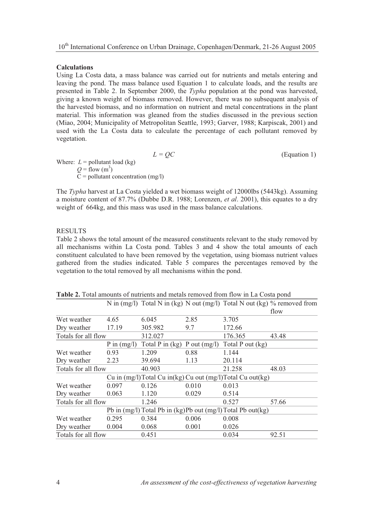### **Calculations**

Using La Costa data, a mass balance was carried out for nutrients and metals entering and leaving the pond. The mass balance used Equation 1 to calculate loads, and the results are presented in Table 2. In September 2000, the *Typha* population at the pond was harvested, giving a known weight of biomass removed. However, there was no subsequent analysis of the harvested biomass, and no information on nutrient and metal concentrations in the plant material. This information was gleaned from the studies discussed in the previous section (Miao, 2004; Municipality of Metropolitan Seattle, 1993; Garver, 1988; Karpiscak, 2001) and used with the La Costa data to calculate the percentage of each pollutant removed by vegetation.

| $L = OC$                             | (Equation 1) |
|--------------------------------------|--------------|
| Where: $L =$ pollutant load (kg)     |              |
| $Q = \text{flow (m}^3)$              |              |
| $C =$ pollutant concentration (mg/l) |              |
|                                      |              |

The *Typha* harvest at La Costa yielded a wet biomass weight of 12000lbs (5443kg). Assuming a moisture content of 87.7% (Dubbe D.R. 1988; Lorenzen, *et al*. 2001), this equates to a dry weight of 664kg, and this mass was used in the mass balance calculations.

#### **RESULTS**

Table 2 shows the total amount of the measured constituents relevant to the study removed by all mechanisms within La Costa pond. Tables 3 and 4 show the total amounts of each constituent calculated to have been removed by the vegetation, using biomass nutrient values gathered from the studies indicated. Table 5 compares the percentages removed by the vegetation to the total removed by all mechanisms within the pond.

|                     |               |                                  |       |                                                                       | N in (mg/l) Total N in (kg) N out (mg/l) Total N out (kg) $\%$ removed from<br>flow |
|---------------------|---------------|----------------------------------|-------|-----------------------------------------------------------------------|-------------------------------------------------------------------------------------|
| Wet weather         | 4.65          | 6.045                            | 2.85  | 3.705                                                                 |                                                                                     |
| Dry weather         | 17.19         | 305.982                          | 9.7   | 172.66                                                                |                                                                                     |
| Totals for all flow |               | 312.027                          |       | 176.365                                                               | 43.48                                                                               |
|                     | P in $(mg/l)$ | Total P in $(kg)$ P out $(mg/l)$ |       | Total P out (kg)                                                      |                                                                                     |
| Wet weather         | 0.93          | 1.209                            | 0.88  | 1.144                                                                 |                                                                                     |
| Dry weather         | 2.23          | 39.694                           | 1.13  | 20.114                                                                |                                                                                     |
| Totals for all flow |               | 40.903                           |       | 21.258                                                                | 48.03                                                                               |
|                     |               |                                  |       | Cu in (mg/l)Total Cu in(kg) Cu out (mg/l)Total Cu out(kg)             |                                                                                     |
| Wet weather         | 0.097         | 0.126                            | 0.010 | 0.013                                                                 |                                                                                     |
| Dry weather         | 0.063         | 1.120                            | 0.029 | 0.514                                                                 |                                                                                     |
| Totals for all flow |               | 1.246                            |       | 0.527                                                                 | 57.66                                                                               |
|                     |               |                                  |       | Pb in $(mg/l)$ Total Pb in $(kg)$ Pb out $(mg/l)$ Total Pb out $(kg)$ |                                                                                     |
| Wet weather         | 0.295         | 0.384                            | 0.006 | 0.008                                                                 |                                                                                     |
| Dry weather         | 0.004         | 0.068                            | 0.001 | 0.026                                                                 |                                                                                     |
| Totals for all flow |               | 0.451                            |       | 0.034                                                                 | 92.51                                                                               |

**Table 2.** Total amounts of nutrients and metals removed from flow in La Costa pond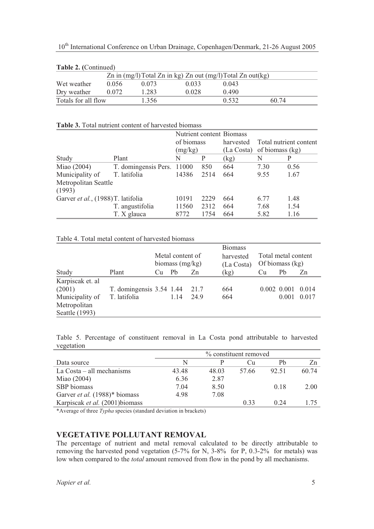|  | 10 <sup>th</sup> International Conference on Urban Drainage, Copenhagen/Denmark, 21-26 August 2005 |  |  |  |
|--|----------------------------------------------------------------------------------------------------|--|--|--|
|  |                                                                                                    |  |  |  |

| <b>Table 2. (Continued)</b> |                                                                    |       |       |       |       |  |  |  |  |
|-----------------------------|--------------------------------------------------------------------|-------|-------|-------|-------|--|--|--|--|
|                             | Zn in $(mg/l)$ Total Zn in kg) Zn out $(mg/l)$ Total Zn out $(kg)$ |       |       |       |       |  |  |  |  |
| Wet weather                 | 0.056                                                              | 0.073 | 0.033 | 0.043 |       |  |  |  |  |
| Dry weather                 | 0.072                                                              | 1.283 | 0.028 | 0.490 |       |  |  |  |  |
| Totals for all flow         |                                                                    | 1.356 |       | 0.532 | 60.74 |  |  |  |  |

#### **Table 3.** Total nutrient content of harvested biomass

|                                    |                            | Nutrient content Biomass |      |            |                        |      |  |
|------------------------------------|----------------------------|--------------------------|------|------------|------------------------|------|--|
|                                    |                            | of biomass               |      | harvested  | Total nutrient content |      |  |
|                                    |                            | (mg/kg)                  |      | (La Costa) | of biomass (kg)        |      |  |
| Study                              | Plant                      | N                        | P    | (kg)       | N                      | P    |  |
| Miao (2004)                        | T. domingensis Pers. 11000 |                          | 850  | 664        | 7.30                   | 0.56 |  |
| Municipality of                    | T. latifolia               | 14386                    | 2514 | 664        | 9.55                   | 1.67 |  |
| Metropolitan Seattle               |                            |                          |      |            |                        |      |  |
| (1993)                             |                            |                          |      |            |                        |      |  |
| Garver et al., (1988) T. latifolia |                            | 10191                    | 2229 | 664        | 6.77                   | 1.48 |  |
|                                    | T. angustifolia            | 11560                    | 2312 | 664        | 7.68                   | 1.54 |  |
|                                    | T. X glauca                | 8772                     | 1754 | 664        | 5.82                   | 1.16 |  |

### Table 4. Total metal content of harvested biomass

|                  |                            |                                       |      |                         | <b>Biomass</b> |                                          |                         |       |
|------------------|----------------------------|---------------------------------------|------|-------------------------|----------------|------------------------------------------|-------------------------|-------|
|                  |                            | Metal content of<br>biomass $(mg/kg)$ |      | harvested<br>(La Costa) |                | Total metal content<br>Of biomass $(kg)$ |                         |       |
| Study            | Plant                      | Cu                                    | Pb   | Zn                      | (kg)           | <b>Cu</b>                                | Pb                      | Zn    |
| Karpiscak et. al |                            |                                       |      |                         |                |                                          |                         |       |
| (2001)           | T. domingensis $3.54$ 1.44 |                                       |      | 21.7                    | 664            |                                          | $0.002$ $0.001$ $0.014$ |       |
| Municipality of  | T. latifolia               |                                       | 1.14 | 24.9                    | 664            |                                          | 0.001                   | 0.017 |
| Metropolitan     |                            |                                       |      |                         |                |                                          |                         |       |
| Seattle (1993)   |                            |                                       |      |                         |                |                                          |                         |       |

Table 5. Percentage of constituent removal in La Costa pond attributable to harvested vegetation

|                                      | % constituent removed |       |       |       |       |  |  |  |
|--------------------------------------|-----------------------|-------|-------|-------|-------|--|--|--|
| Data source                          | N                     |       | Сп.   | Ph    | Zn    |  |  |  |
| La $Costa - all$ mechanisms          | 43.48                 | 48.03 | 57.66 | 92.51 | 60.74 |  |  |  |
| Miao (2004)                          | 6.36                  | 2.87  |       |       |       |  |  |  |
| SBP biomass                          | 7.04                  | 8.50  |       | 0.18  | 2.00  |  |  |  |
| Garver <i>et al.</i> (1988)* biomass | 4.98                  | 7.08  |       |       |       |  |  |  |
| Karpiscak et al. (2001) biomass      |                       |       | 0.33  | 0.24  |       |  |  |  |

\*Average of three *Typha* species (standard deviation in brackets)

# **VEGETATIVE POLLUTANT REMOVAL**

The percentage of nutrient and metal removal calculated to be directly attributable to removing the harvested pond vegetation (5-7% for N, 3-8% for P, 0.3-2% for metals) was low when compared to the *total* amount removed from flow in the pond by all mechanisms.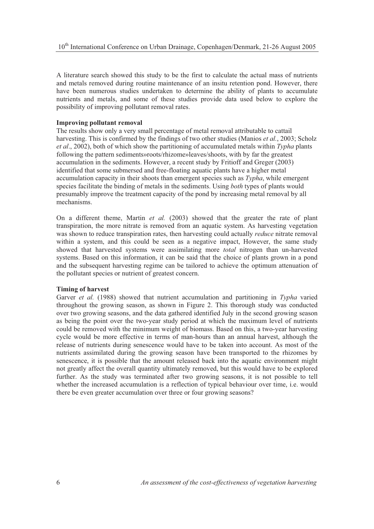A literature search showed this study to be the first to calculate the actual mass of nutrients and metals removed during routine maintenance of an insitu retention pond. However, there have been numerous studies undertaken to determine the ability of plants to accumulate nutrients and metals, and some of these studies provide data used below to explore the possibility of improving pollutant removal rates.

### **Improving pollutant removal**

The results show only a very small percentage of metal removal attributable to cattail harvesting. This is confirmed by the findings of two other studies (Manios *et al.*, 2003; Scholz *et al*., 2002), both of which show the partitioning of accumulated metals within *Typha* plants following the pattern sediments»roots/rhizome»leaves/shoots, with by far the greatest accumulation in the sediments. However, a recent study by Fritioff and Greger (2003) identified that some submersed and free-floating aquatic plants have a higher metal accumulation capacity in their shoots than emergent species such as *Typha*, while emergent species facilitate the binding of metals in the sediments. Using *both* types of plants would presumably improve the treatment capacity of the pond by increasing metal removal by all mechanisms.

On a different theme, Martin *et al.* (2003) showed that the greater the rate of plant transpiration, the more nitrate is removed from an aquatic system. As harvesting vegetation was shown to reduce transpiration rates, then harvesting could actually *reduce* nitrate removal within a system, and this could be seen as a negative impact, However, the same study showed that harvested systems were assimilating more *total* nitrogen than un-harvested systems. Based on this information, it can be said that the choice of plants grown in a pond and the subsequent harvesting regime can be tailored to achieve the optimum attenuation of the pollutant species or nutrient of greatest concern.

#### **Timing of harvest**

Garver *et al.* (1988) showed that nutrient accumulation and partitioning in *Typha* varied throughout the growing season, as shown in Figure 2. This thorough study was conducted over two growing seasons, and the data gathered identified July in the second growing season as being the point over the two-year study period at which the maximum level of nutrients could be removed with the minimum weight of biomass. Based on this, a two-year harvesting cycle would be more effective in terms of man-hours than an annual harvest, although the release of nutrients during senescence would have to be taken into account. As most of the nutrients assimilated during the growing season have been transported to the rhizomes by senescence, it is possible that the amount released back into the aquatic environment might not greatly affect the overall quantity ultimately removed, but this would have to be explored further. As the study was terminated after two growing seasons, it is not possible to tell whether the increased accumulation is a reflection of typical behaviour over time, i.e. would there be even greater accumulation over three or four growing seasons?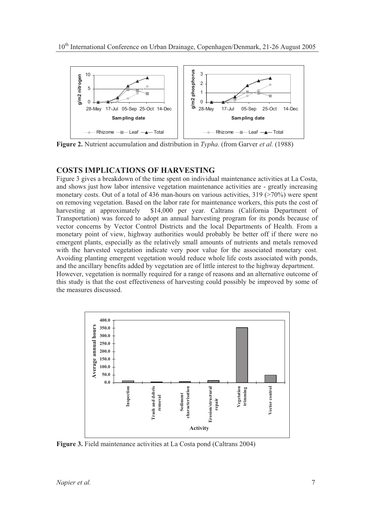

**Figure 2.** Nutrient accumulation and distribution in *Typha*. (from Garver *et al.* (1988)

# **COSTS IMPLICATIONS OF HARVESTING**

Figure 3 gives a breakdown of the time spent on individual maintenance activities at La Costa, and shows just how labor intensive vegetation maintenance activities are - greatly increasing monetary costs. Out of a total of 436 man-hours on various activities,  $319$  ( $>70\%$ ) were spent on removing vegetation. Based on the labor rate for maintenance workers, this puts the cost of harvesting at approximately \$14,000 per year. Caltrans (California Department of Transportation) was forced to adopt an annual harvesting program for its ponds because of vector concerns by Vector Control Districts and the local Departments of Health. From a monetary point of view, highway authorities would probably be better off if there were no emergent plants, especially as the relatively small amounts of nutrients and metals removed with the harvested vegetation indicate very poor value for the associated monetary cost. Avoiding planting emergent vegetation would reduce whole life costs associated with ponds, and the ancillary benefits added by vegetation are of little interest to the highway department. However, vegetation is normally required for a range of reasons and an alternative outcome of this study is that the cost effectiveness of harvesting could possibly be improved by some of the measures discussed.



**Figure 3.** Field maintenance activities at La Costa pond (Caltrans 2004)